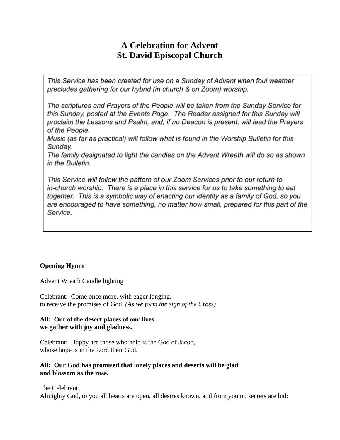# **A Celebration for Advent St. David Episcopal Church**

This Service has been created for use on a Sunday of Advent when foul weather precludes gathering for our hybrid (in church & on Zoom) worship.

The scriptures and Prayers of the People will be taken from the Sunday Service for this Sunday, posted at the Events Page. The Reader assigned for this Sunday will proclaim the Lessons and Psalm, and, if no Deacon is present, will lead the Prayers of the People.

Music (as far as practical) will follow what is found in the Worship Bulletin for this Sunday.

The family designated to light the candles on the Advent Wreath will do so as shown in the Bulletin.

This Service will follow the pattern of our Zoom Services prior to our return to in-church worship. There is a place in this service for us to take something to eat together. This is a symbolic way of enacting our identity as a family of God, so you are encouraged to have something, no matter how small, prepared for this part of the Service.

## **Opening Hymn**

Advent Wreath Candle lighting

Celebrant: Come once more, with eager longing, to receive the promises of God. *(As we form the sign of the Cross)* 

#### **All: Out of the desert places of our lives we gather with joy and gladness.**

Celebrant: Happy are those who help is the God of Jacob, whose hope is in the Lord their God.

## **All: Our God has promised that lonely places and deserts will be glad and blossom as the rose.**

The Celebrant

Almighty God, to you all hearts are open, all desires known, and from you no secrets are hid: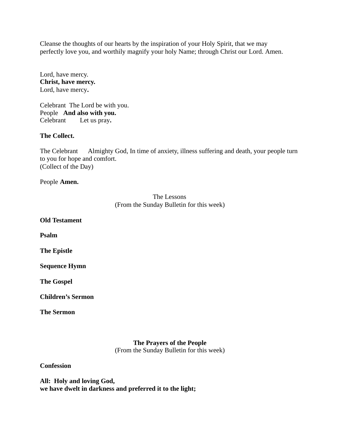Cleanse the thoughts of our hearts by the inspiration of your Holy Spirit, that we may perfectly love you, and worthily magnify your holy Name; through Christ our Lord. Amen.

Lord, have mercy. **Christ, have mercy.**  Lord, have mercy.

Celebrant The Lord be with you. People **And also with you.**  Celebrant Let us pray.

#### **The Collect.**

The Celebrant Almighty God, In time of anxiety, illness suffering and death, your people turn to you for hope and comfort. (Collect of the Day)

People **Amen.** 

## The Lessons (From the Sunday Bulletin for this week)

**Old Testament** 

**Psalm** 

**The Epistle** 

**Sequence Hymn** 

**The Gospel** 

**Children's Sermon** 

**The Sermon** 

## **The Prayers of the People**

(From the Sunday Bulletin for this week)

**Confession** 

**All: Holy and loving God, we have dwelt in darkness and preferred it to the light;**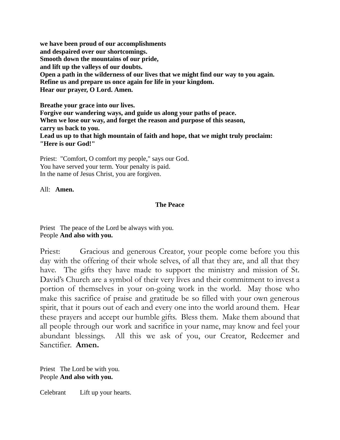**we have been proud of our accomplishments and despaired over our shortcomings. Smooth down the mountains of our pride, and lift up the valleys of our doubts. Open a path in the wilderness of our lives that we might find our way to you again. Refine us and prepare us once again for life in your kingdom. Hear our prayer, O Lord. Amen.** 

**Breathe your grace into our lives. Forgive our wandering ways, and guide us along your paths of peace. When we lose our way, and forget the reason and purpose of this season, carry us back to you. Lead us up to that high mountain of faith and hope, that we might truly proclaim: "Here is our God!"** 

Priest: "Comfort, O comfort my people," says our God. You have served your term. Your penalty is paid. In the name of Jesus Christ, you are forgiven.

All: **Amen.** 

## **The Peace**

Priest The peace of the Lord be always with you. People **And also with you.** 

Priest: Gracious and generous Creator, your people come before you this day with the offering of their whole selves, of all that they are, and all that they have. The gifts they have made to support the ministry and mission of St. David's Church are a symbol of their very lives and their commitment to invest a portion of themselves in your on-going work in the world. May those who make this sacrifice of praise and gratitude be so filled with your own generous spirit, that it pours out of each and every one into the world around them. Hear these prayers and accept our humble gifts. Bless them. Make them abound that all people through our work and sacrifice in your name, may know and feel your abundant blessings. All this we ask of you, our Creator, Redeemer and Sanctifier. **Amen.** 

Priest The Lord be with you. People **And also with you.** 

Celebrant Lift up your hearts.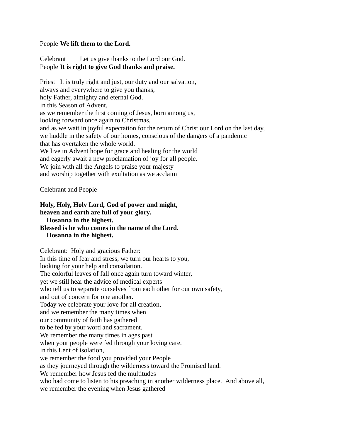#### People **We lift them to the Lord.**

Celebrant Let us give thanks to the Lord our God. People **It is right to give God thanks and praise.** 

Priest It is truly right and just, our duty and our salvation, always and everywhere to give you thanks, holy Father, almighty and eternal God. In this Season of Advent, as we remember the first coming of Jesus, born among us, looking forward once again to Christmas, and as we wait in joyful expectation for the return of Christ our Lord on the last day, we huddle in the safety of our homes, conscious of the dangers of a pandemic that has overtaken the whole world. We live in Advent hope for grace and healing for the world and eagerly await a new proclamation of joy for all people. We join with all the Angels to praise your majesty and worship together with exultation as we acclaim

Celebrant and People

#### **Holy, Holy, Holy Lord, God of power and might, heaven and earth are full of your glory. Hosanna in the highest. Blessed is he who comes in the name of the Lord. Hosanna in the highest.**

Celebrant: Holy and gracious Father: In this time of fear and stress, we turn our hearts to you, looking for your help and consolation. The colorful leaves of fall once again turn toward winter, yet we still hear the advice of medical experts who tell us to separate ourselves from each other for our own safety, and out of concern for one another. Today we celebrate your love for all creation, and we remember the many times when our community of faith has gathered to be fed by your word and sacrament. We remember the many times in ages past when your people were fed through your loving care. In this Lent of isolation, we remember the food you provided your People as they journeyed through the wilderness toward the Promised land. We remember how Jesus fed the multitudes who had come to listen to his preaching in another wilderness place. And above all, we remember the evening when Jesus gathered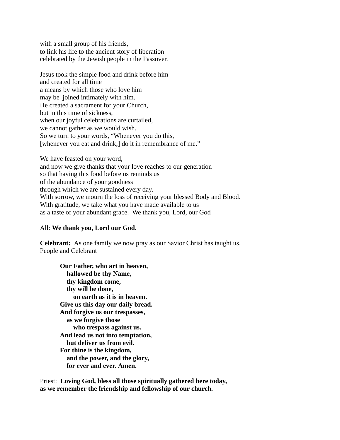with a small group of his friends, to link his life to the ancient story of liberation celebrated by the Jewish people in the Passover.

Jesus took the simple food and drink before him and created for all time a means by which those who love him may be joined intimately with him. He created a sacrament for your Church, but in this time of sickness, when our joyful celebrations are curtailed, we cannot gather as we would wish. So we turn to your words, "Whenever you do this, [whenever you eat and drink,] do it in remembrance of me."

We have feasted on your word, and now we give thanks that your love reaches to our generation so that having this food before us reminds us of the abundance of your goodness through which we are sustained every day. With sorrow, we mourn the loss of receiving your blessed Body and Blood. With gratitude, we take what you have made available to us as a taste of your abundant grace. We thank you, Lord, our God

#### All: **We thank you, Lord our God.**

**Celebrant:** As one family we now pray as our Savior Christ has taught us, People and Celebrant

**Our Father, who art in heaven, hallowed be thy Name, thy kingdom come, thy will be done, on earth as it is in heaven. Give us this day our daily bread. And forgive us our trespasses, as we forgive those who trespass against us. And lead us not into temptation, but deliver us from evil. For thine is the kingdom, and the power, and the glory, for ever and ever. Amen.** 

Priest: **Loving God, bless all those spiritually gathered here today, as we remember the friendship and fellowship of our church.**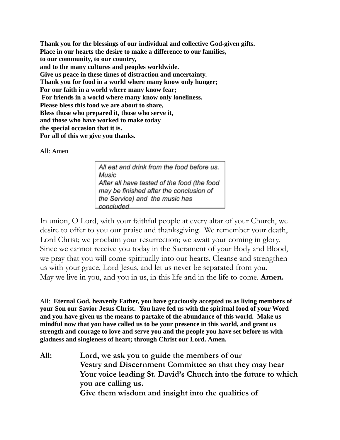**Thank you for the blessings of our individual and collective God-given gifts. Place in our hearts the desire to make a difference to our families, to our community, to our country, and to the many cultures and peoples worldwide. Give us peace in these times of distraction and uncertainty. Thank you for food in a world where many know only hunger; For our faith in a world where many know fear; For friends in a world where many know only loneliness. Please bless this food we are about to share, Bless those who prepared it, those who serve it, and those who have worked to make today the special occasion that it is. For all of this we give you thanks.** 

## All: Amen

All eat and drink from the food before us. Music After all have tasted of the food (the food may be finished after the conclusion of the Service) and the music has concluded

In union, O Lord, with your faithful people at every altar of your Church, we desire to offer to you our praise and thanksgiving. We remember your death, Lord Christ; we proclaim your resurrection; we await your coming in glory. Since we cannot receive you today in the Sacrament of your Body and Blood, we pray that you will come spiritually into our hearts. Cleanse and strengthen us with your grace, Lord Jesus, and let us never be separated from you. May we live in you, and you in us, in this life and in the life to come. **Amen.** 

All: **Eternal God, heavenly Father, you have graciously accepted us as living members of your Son our Savior Jesus Christ. You have fed us with the spiritual food of your Word and you have given us the means to partake of the abundance of this world. Make us mindful now that you have called us to be your presence in this world, and grant us strength and courage to love and serve you and the people you have set before us with gladness and singleness of heart; through Christ our Lord. Amen.** 

**All: Lord, we ask you to guide the members of our Vestry and Discernment Committee so that they may hear Your voice leading St. David's Church into the future to which you are calling us. Give them wisdom and insight into the qualities of**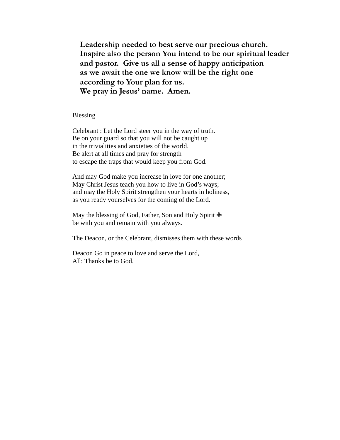**Leadership needed to best serve our precious church. Inspire also the person You intend to be our spiritual leader and pastor. Give us all a sense of happy anticipation as we await the one we know will be the right one according to Your plan for us. We pray in Jesus' name. Amen.** 

Blessing

Celebrant : Let the Lord steer you in the way of truth. Be on your guard so that you will not be caught up in the trivialities and anxieties of the world. Be alert at all times and pray for strength to escape the traps that would keep you from God.

And may God make you increase in love for one another; May Christ Jesus teach you how to live in God's ways; and may the Holy Spirit strengthen your hearts in holiness, as you ready yourselves for the coming of the Lord.

May the blessing of God, Father, Son and Holy Spirit **⊕** be with you and remain with you always.

The Deacon, or the Celebrant, dismisses them with these words

Deacon Go in peace to love and serve the Lord, All: Thanks be to God.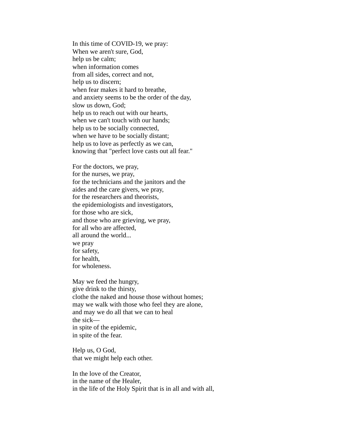In this time of COVID-19, we pray: When we aren't sure, God, help us be calm; when information comes from all sides, correct and not, help us to discern; when fear makes it hard to breathe, and anxiety seems to be the order of the day, slow us down, God; help us to reach out with our hearts, when we can't touch with our hands; help us to be socially connected, when we have to be socially distant; help us to love as perfectly as we can, knowing that "perfect love casts out all fear."

For the doctors, we pray, for the nurses, we pray, for the technicians and the janitors and the aides and the care givers, we pray, for the researchers and theorists, the epidemiologists and investigators, for those who are sick, and those who are grieving, we pray, for all who are affected, all around the world... we pray for safety, for health, for wholeness.

May we feed the hungry, give drink to the thirsty, clothe the naked and house those without homes; may we walk with those who feel they are alone, and may we do all that we can to heal the sick in spite of the epidemic, in spite of the fear.

Help us, O God, that we might help each other.

In the love of the Creator, in the name of the Healer, in the life of the Holy Spirit that is in all and with all,